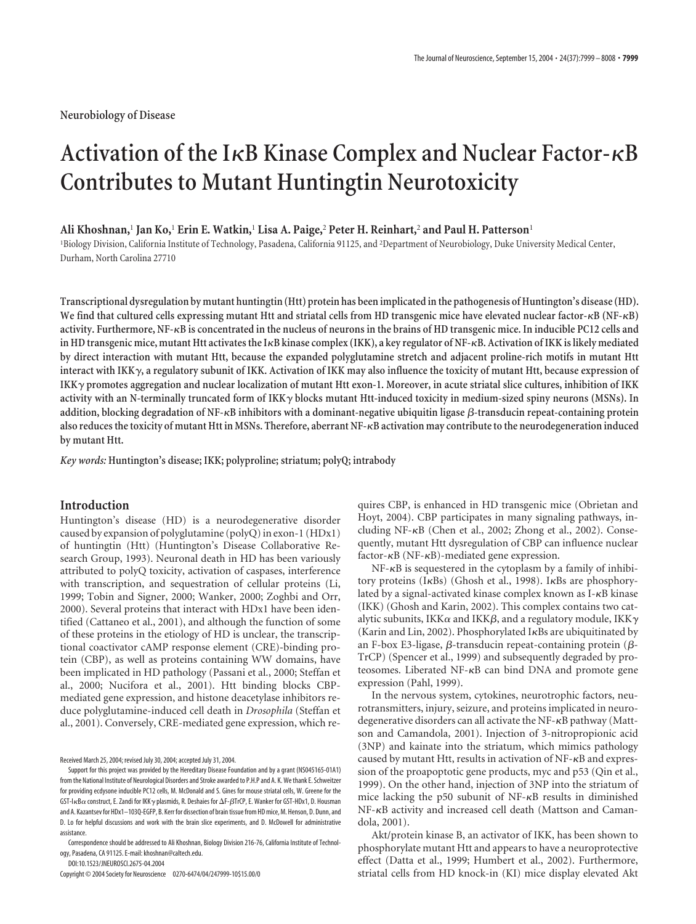# Activation of the I<sub>K</sub>B Kinase Complex and Nuclear Factor- $\kappa$ B **Contributes to Mutant Huntingtin Neurotoxicity**

## **Ali Khoshnan,**<sup>1</sup> **Jan Ko,**<sup>1</sup> **Erin E. Watkin,**<sup>1</sup> **Lisa A. Paige,**<sup>2</sup> **Peter H. Reinhart,**<sup>2</sup> **and Paul H. Patterson**<sup>1</sup>

1 Biology Division, California Institute of Technology, Pasadena, California 91125, and <sup>2</sup> Department of Neurobiology, Duke University Medical Center, Durham, North Carolina 27710

**Transcriptional dysregulation by mutant huntingtin (Htt) protein has been implicated in the pathogenesis of Huntington's disease (HD). We find that cultured cells expressing mutant Htt and striatal cells from HD transgenic mice have elevated nuclear factor-B (NF-B) activity. Furthermore, NF-B is concentrated in the nucleus of neurons in the brains of HD transgenic mice. In inducible PC12 cells and in HD transgenic mice, mutant Htt activates the IB kinase complex (IKK), a key regulator of NF-B. Activation of IKK is likely mediated by direct interaction with mutant Htt, because the expanded polyglutamine stretch and adjacent proline-rich motifs in mutant Htt interact with IKK**-**, a regulatory subunit of IKK. Activation of IKK may also influence the toxicity of mutant Htt, because expression of IKK**- **promotes aggregation and nuclear localization of mutant Htt exon-1. Moreover, in acute striatal slice cultures, inhibition of IKK** activity with an N-terminally truncated form of IKK $\gamma$  blocks mutant Htt-induced toxicity in medium-sized spiny neurons (MSNs). In addition, blocking degradation of NF-<sub>K</sub>B inhibitors with a dominant-negative ubiquitin ligase  $\beta$ -transducin repeat-containing protein **also reduces the toxicity of mutant Htt in MSNs. Therefore, aberrant NF-B activation may contribute to the neurodegeneration induced by mutant Htt.**

*Key words:* **Huntington's disease; IKK; polyproline; striatum; polyQ; intrabody**

# **Introduction**

Huntington's disease (HD) is a neurodegenerative disorder caused by expansion of polyglutamine (polyQ) in exon-1 (HDx1) of huntingtin (Htt) (Huntington's Disease Collaborative Research Group, 1993). Neuronal death in HD has been variously attributed to polyQ toxicity, activation of caspases, interference with transcription, and sequestration of cellular proteins (Li, 1999; Tobin and Signer, 2000; Wanker, 2000; Zoghbi and Orr, 2000). Several proteins that interact with HDx1 have been identified (Cattaneo et al., 2001), and although the function of some of these proteins in the etiology of HD is unclear, the transcriptional coactivator cAMP response element (CRE)-binding protein (CBP), as well as proteins containing WW domains, have been implicated in HD pathology (Passani et al., 2000; Steffan et al., 2000; Nucifora et al., 2001). Htt binding blocks CBPmediated gene expression, and histone deacetylase inhibitors reduce polyglutamine-induced cell death in *Drosophila* (Steffan et al., 2001). Conversely, CRE-mediated gene expression, which re-

Received March 25, 2004; revised July 30, 2004; accepted July 31, 2004.

DOI:10.1523/JNEUROSCI.2675-04.2004

quires CBP, is enhanced in HD transgenic mice (Obrietan and Hoyt, 2004). CBP participates in many signaling pathways, including NF-KB (Chen et al., 2002; Zhong et al., 2002). Consequently, mutant Htt dysregulation of CBP can influence nuclear factor- $\kappa$ B (NF- $\kappa$ B)-mediated gene expression.

 $NF-\kappa B$  is sequestered in the cytoplasm by a family of inhibitory proteins ( $I \kappa Bs$ ) (Ghosh et al., 1998). I $\kappa Bs$  are phosphorylated by a signal-activated kinase complex known as  $I - \kappa B$  kinase (IKK) (Ghosh and Karin, 2002). This complex contains two catalytic subunits, IKK $\alpha$  and IKK $\beta$ , and a regulatory module, IKK $\gamma$ (Karin and Lin, 2002). Phosphorylated I $\kappa$ Bs are ubiquitinated by an F-box E3-ligase,  $\beta$ -transducin repeat-containing protein ( $\beta$ -TrCP) (Spencer et al., 1999) and subsequently degraded by proteosomes. Liberated NF- $\kappa$ B can bind DNA and promote gene expression (Pahl, 1999).

In the nervous system, cytokines, neurotrophic factors, neurotransmitters, injury, seizure, and proteins implicated in neurodegenerative disorders can all activate the NF-KB pathway (Mattson and Camandola, 2001). Injection of 3-nitropropionic acid (3NP) and kainate into the striatum, which mimics pathology caused by mutant Htt, results in activation of  $NF-\kappa B$  and expression of the proapoptotic gene products, myc and p53 (Qin et al., 1999). On the other hand, injection of 3NP into the striatum of mice lacking the p50 subunit of  $NF-\kappa B$  results in diminished NF- $\kappa$ B activity and increased cell death (Mattson and Camandola, 2001).

Akt/protein kinase B, an activator of IKK, has been shown to phosphorylate mutant Htt and appears to have a neuroprotective effect (Datta et al., 1999; Humbert et al., 2002). Furthermore, striatal cells from HD knock-in (KI) mice display elevated Akt

Support for this project was provided by the Hereditary Disease Foundation and by a grant (NS045165-01A1) from the National Institute of Neurological Disorders and Stroke awarded to P.H.P and A. K. We thank E. Schweitzer for providing ecdysone inducible PC12 cells, M. McDonald and S. Gines for mouse striatal cells, W. Greene for the GST-I $\kappa$ B $\alpha$  construct, E. Zandi for IKK $\gamma$  plasmids, R. Deshaies for  $\Delta$ F- $\beta$ TrCP, E. Wanker for GST-HDx1, D. Housman and A. Kazantsev for HDx1–103Q-EGFP, B. Kerr for dissection of brain tissue from HD mice, M. Henson, D. Dunn, and D. Lo for helpful discussions and work with the brain slice experiments, and D. McDowell for administrative assistance.

Correspondence should be addressed to Ali Khoshnan, Biology Division 216-76, California Institute of Technology, Pasadena, CA 91125. E-mail: khoshnan@caltech.edu.

Copyright © 2004 Society for Neuroscience 0270-6474/04/247999-10\$15.00/0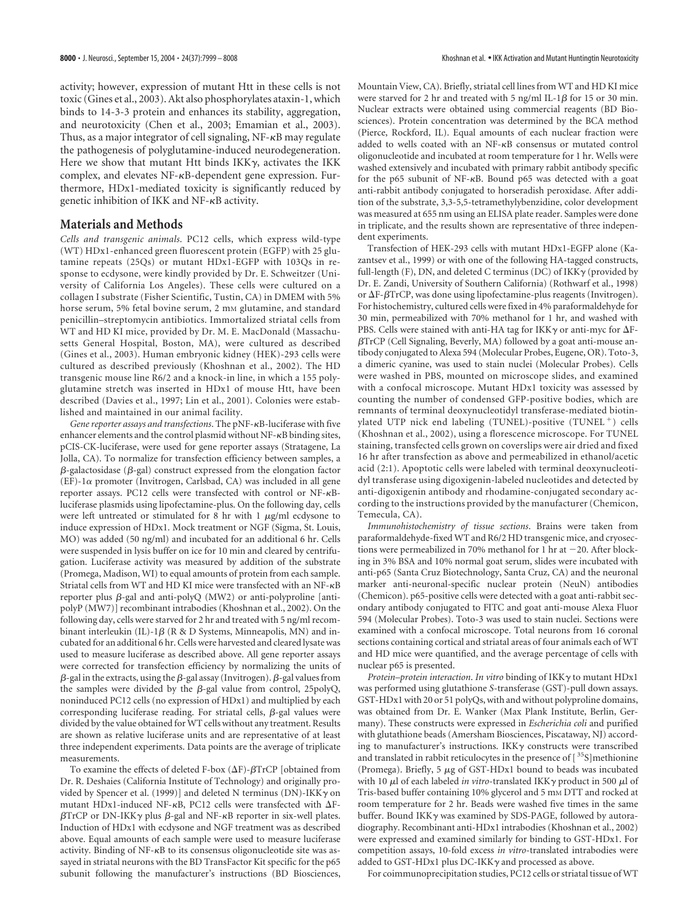activity; however, expression of mutant Htt in these cells is not toxic (Gines et al., 2003). Akt also phosphorylates ataxin-1, which binds to 14-3-3 protein and enhances its stability, aggregation, and neurotoxicity (Chen et al., 2003; Emamian et al., 2003). Thus, as a major integrator of cell signaling,  $NF - \kappa B$  may regulate the pathogenesis of polyglutamine-induced neurodegeneration. Here we show that mutant Htt binds IKK $\gamma$ , activates the IKK complex, and elevates  $NF-\kappa B$ -dependent gene expression. Furthermore, HDx1-mediated toxicity is significantly reduced by genetic inhibition of IKK and NF- $\kappa$ B activity.

## **Materials and Methods**

*Cells and transgenic animals*. PC12 cells, which express wild-type (WT) HDx1-enhanced green fluorescent protein (EGFP) with 25 glutamine repeats (25Qs) or mutant HDx1-EGFP with 103Qs in response to ecdysone, were kindly provided by Dr. E. Schweitzer (University of California Los Angeles). These cells were cultured on a collagen I substrate (Fisher Scientific, Tustin, CA) in DMEM with 5% horse serum, 5% fetal bovine serum, 2 mm glutamine, and standard penicillin–streptomycin antibiotics. Immortalized striatal cells from WT and HD KI mice, provided by Dr. M. E. MacDonald (Massachusetts General Hospital, Boston, MA), were cultured as described (Gines et al., 2003). Human embryonic kidney (HEK)-293 cells were cultured as described previously (Khoshnan et al., 2002). The HD transgenic mouse line R6/2 and a knock-in line, in which a 155 polyglutamine stretch was inserted in HDx1 of mouse Htt, have been described (Davies et al., 1997; Lin et al., 2001). Colonies were established and maintained in our animal facility.

Gene reporter assays and transfections. The pNF-<sub>KB</sub>-luciferase with five enhancer elements and the control plasmid without  $NF - \kappa B$  binding sites, pCIS-CK-luciferase, were used for gene reporter assays (Stratagene, La Jolla, CA). To normalize for transfection efficiency between samples, a  $\beta$ -galactosidase ( $\beta$ -gal) construct expressed from the elongation factor  $(EF)$ -1 $\alpha$  promoter (Invitrogen, Carlsbad, CA) was included in all gene reporter assays. PC12 cells were transfected with control or NF-Bluciferase plasmids using lipofectamine-plus. On the following day, cells were left untreated or stimulated for 8 hr with 1  $\mu$ g/ml ecdysone to induce expression of HDx1. Mock treatment or NGF (Sigma, St. Louis, MO) was added (50 ng/ml) and incubated for an additional 6 hr. Cells were suspended in lysis buffer on ice for 10 min and cleared by centrifugation. Luciferase activity was measured by addition of the substrate (Promega, Madison, WI) to equal amounts of protein from each sample. Striatal cells from WT and HD KI mice were transfected with an NF- $\kappa$ B reporter plus  $\beta$ -gal and anti-polyQ (MW2) or anti-polyproline [antipolyP (MW7)] recombinant intrabodies (Khoshnan et al., 2002). On the following day, cells were starved for 2 hr and treated with 5 ng/ml recombinant interleukin (IL)-1 $\beta$  (R & D Systems, Minneapolis, MN) and incubated for an additional 6 hr. Cells were harvested and cleared lysate was used to measure luciferase as described above. All gene reporter assays were corrected for transfection efficiency by normalizing the units of  $\beta$ -gal in the extracts, using the  $\beta$ -gal assay (Invitrogen).  $\beta$ -gal values from the samples were divided by the  $\beta$ -gal value from control, 25polyQ, noninduced PC12 cells (no expression of HDx1) and multiplied by each corresponding luciferase reading. For striatal cells,  $\beta$ -gal values were divided by the value obtained for WT cells without any treatment. Results are shown as relative luciferase units and are representative of at least three independent experiments. Data points are the average of triplicate measurements.

To examine the effects of deleted F-box  $(\Delta F)$ - $\beta$ TrCP [obtained from Dr. R. Deshaies (California Institute of Technology) and originally provided by Spencer et al. (1999)] and deleted N terminus (DN)-IKK $\gamma$  on mutant HDx1-induced NF- $\kappa$ B, PC12 cells were transfected with  $\Delta$ F- $\beta$ TrCP or DN-IKK $\gamma$  plus  $\beta$ -gal and NF- $\kappa$ B reporter in six-well plates. Induction of HDx1 with ecdysone and NGF treatment was as described above. Equal amounts of each sample were used to measure luciferase activity. Binding of  $NF-\kappa B$  to its consensus oligonucleotide site was assayed in striatal neurons with the BD TransFactor Kit specific for the p65 subunit following the manufacturer's instructions (BD Biosciences,

Mountain View, CA). Briefly, striatal cell lines from WT and HD KI mice were starved for 2 hr and treated with 5 ng/ml IL-1 $\beta$  for 15 or 30 min. Nuclear extracts were obtained using commercial reagents (BD Biosciences). Protein concentration was determined by the BCA method (Pierce, Rockford, IL). Equal amounts of each nuclear fraction were added to wells coated with an NF-KB consensus or mutated control oligonucleotide and incubated at room temperature for 1 hr. Wells were washed extensively and incubated with primary rabbit antibody specific for the p65 subunit of NF- $\kappa$ B. Bound p65 was detected with a goat anti-rabbit antibody conjugated to horseradish peroxidase. After addition of the substrate, 3,3-5,5-tetramethylybenzidine, color development was measured at 655 nm using an ELISA plate reader. Samples were done in triplicate, and the results shown are representative of three independent experiments.

Transfection of HEK-293 cells with mutant HDx1-EGFP alone (Kazantsev et al., 1999) or with one of the following HA-tagged constructs, full-length (F), DN, and deleted C terminus (DC) of IKK $\gamma$  (provided by Dr. E. Zandi, University of Southern California) (Rothwarf et al., 1998) or  $\Delta$ F- $\beta$ TrCP, was done using lipofectamine-plus reagents (Invitrogen). For histochemistry, cultured cells were fixed in 4% paraformaldehyde for 30 min, permeabilized with 70% methanol for 1 hr, and washed with PBS. Cells were stained with anti-HA tag for IKK $\gamma$  or anti-myc for  $\Delta F$ - $\beta$ TrCP (Cell Signaling, Beverly, MA) followed by a goat anti-mouse antibody conjugated to Alexa 594 (Molecular Probes, Eugene, OR). Toto-3, a dimeric cyanine, was used to stain nuclei (Molecular Probes). Cells were washed in PBS, mounted on microscope slides, and examined with a confocal microscope. Mutant HDx1 toxicity was assessed by counting the number of condensed GFP-positive bodies, which are remnants of terminal deoxynucleotidyl transferase-mediated biotinylated UTP nick end labeling (TUNEL)-positive (TUNEL<sup>+</sup>) cells (Khoshnan et al., 2002), using a florescence microscope. For TUNEL staining, transfected cells grown on coverslips were air dried and fixed 16 hr after transfection as above and permeabilized in ethanol/acetic acid (2:1). Apoptotic cells were labeled with terminal deoxynucleotidyl transferase using digoxigenin-labeled nucleotides and detected by anti-digoxigenin antibody and rhodamine-conjugated secondary according to the instructions provided by the manufacturer (Chemicon, Temecula, CA).

*Immunohistochemistry of tissue sections*. Brains were taken from paraformaldehyde-fixed WT and R6/2 HD transgenic mice, and cryosections were permeabilized in 70% methanol for 1 hr at  $-20$ . After blocking in 3% BSA and 10% normal goat serum, slides were incubated with anti-p65 (Santa Cruz Biotechnology, Santa Cruz, CA) and the neuronal marker anti-neuronal-specific nuclear protein (NeuN) antibodies (Chemicon). p65-positive cells were detected with a goat anti-rabbit secondary antibody conjugated to FITC and goat anti-mouse Alexa Fluor 594 (Molecular Probes). Toto-3 was used to stain nuclei. Sections were examined with a confocal microscope. Total neurons from 16 coronal sections containing cortical and striatal areas of four animals each of WT and HD mice were quantified, and the average percentage of cells with nuclear p65 is presented.

*Protein–protein interaction*. *In vitro* binding of IKK- to mutant HDx1 was performed using glutathione *S*-transferase (GST)-pull down assays. GST-HDx1 with 20 or 51 polyQs, with and without polyproline domains, was obtained from Dr. E. Wanker (Max Plank Institute, Berlin, Germany). These constructs were expressed in *Escherichia coli* and purified with glutathione beads (Amersham Biosciences, Piscataway, NJ) according to manufacturer's instructions. IKKy constructs were transcribed and translated in rabbit reticulocytes in the presence of [<sup>35</sup>S]methionine (Promega). Briefly, 5  $\mu$ g of GST-HDx1 bound to beads was incubated with 10  $\mu$ l of each labeled *in vitro*-translated IKK $\gamma$  product in 500  $\mu$ l of Tris-based buffer containing 10% glycerol and 5 mm DTT and rocked at room temperature for 2 hr. Beads were washed five times in the same buffer. Bound IKK $\gamma$  was examined by SDS-PAGE, followed by autoradiography. Recombinant anti-HDx1 intrabodies (Khoshnan et al., 2002) were expressed and examined similarly for binding to GST-HDx1. For competition assays, 10-fold excess *in vitro*-translated intrabodies were added to GST-HDx1 plus DC-IKK $\gamma$  and processed as above.

For coimmunoprecipitation studies, PC12 cells or striatal tissue of WT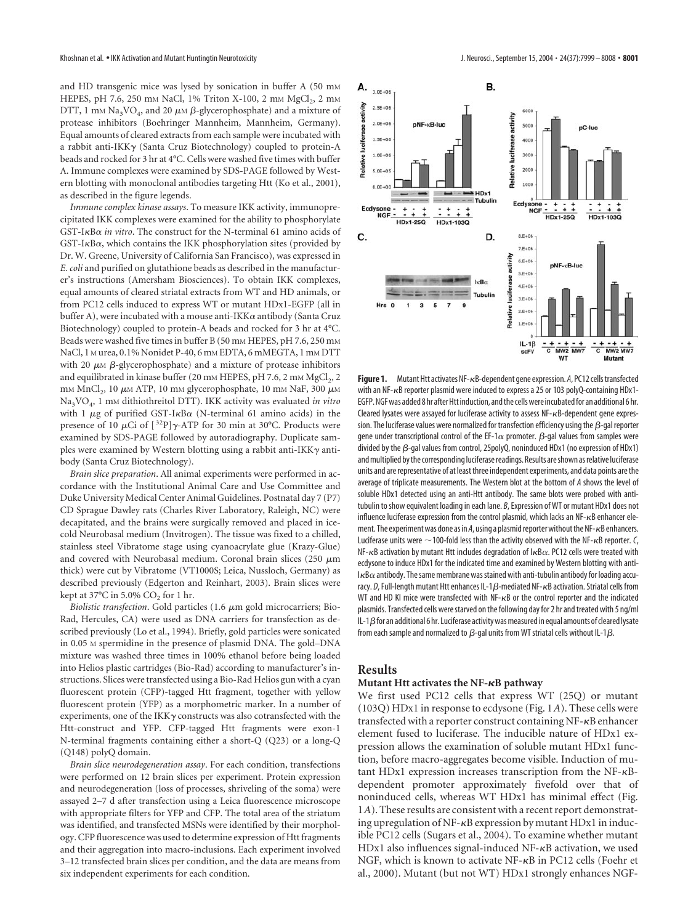and HD transgenic mice was lysed by sonication in buffer A (50 mM HEPES, pH 7.6, 250 mm NaCl, 1% Triton X-100, 2 mm MgCl<sub>2</sub>, 2 mm DTT, 1 mm Na<sub>3</sub>VO<sub>4</sub>, and 20  $\mu$ m  $\beta$ -glycerophosphate) and a mixture of protease inhibitors (Boehringer Mannheim, Mannheim, Germany). Equal amounts of cleared extracts from each sample were incubated with a rabbit anti-IKK $\gamma$  (Santa Cruz Biotechnology) coupled to protein-A beads and rocked for 3 hr at 4°C. Cells were washed five times with buffer A. Immune complexes were examined by SDS-PAGE followed by Western blotting with monoclonal antibodies targeting Htt (Ko et al., 2001), as described in the figure legends.

*Immune complex kinase assays*. To measure IKK activity, immunoprecipitated IKK complexes were examined for the ability to phosphorylate GST-I<sub>K</sub>Bα in vitro. The construct for the N-terminal 61 amino acids of  $GST-I\kappa B\alpha$ , which contains the IKK phosphorylation sites (provided by Dr. W. Greene, University of California San Francisco), was expressed in *E. coli* and purified on glutathione beads as described in the manufacturer's instructions (Amersham Biosciences). To obtain IKK complexes, equal amounts of cleared striatal extracts from WT and HD animals, or from PC12 cells induced to express WT or mutant HDx1-EGFP (all in buffer A), were incubated with a mouse anti-IKK $\alpha$  antibody (Santa Cruz Biotechnology) coupled to protein-A beads and rocked for 3 hr at 4°C. Beads were washed five times in buffer B (50 mm HEPES, pH 7.6, 250 mm NaCl, 1 M urea, 0.1% Nonidet P-40, 6 mM EDTA, 6 mMEGTA, 1 mM DTT with 20  $\mu$ M  $\beta$ -glycerophosphate) and a mixture of protease inhibitors and equilibrated in kinase buffer (20 mm HEPES, pH 7.6, 2 mm MgCl<sub>2</sub>, 2 mm MnCl<sub>2</sub>, 10  $\mu$ m ATP, 10 mm glycerophosphate, 10 mm NaF, 300  $\mu$ m Na3VO4,1mM dithiothreitol DTT). IKK activity was evaluated *in vitro* with 1  $\mu$ g of purified GST-I $\kappa$ B $\alpha$  (N-terminal 61 amino acids) in the presence of 10  $\mu$ Ci of  $[{}^{32}P]\gamma$ -ATP for 30 min at 30°C. Products were examined by SDS-PAGE followed by autoradiography. Duplicate samples were examined by Western blotting using a rabbit anti-IKK $\gamma$  antibody (Santa Cruz Biotechnology).

*Brain slice preparation*. All animal experiments were performed in accordance with the Institutional Animal Care and Use Committee and Duke University Medical Center Animal Guidelines. Postnatal day 7 (P7) CD Sprague Dawley rats (Charles River Laboratory, Raleigh, NC) were decapitated, and the brains were surgically removed and placed in icecold Neurobasal medium (Invitrogen). The tissue was fixed to a chilled, stainless steel Vibratome stage using cyanoacrylate glue (Krazy-Glue) and covered with Neurobasal medium. Coronal brain slices (250  $\mu$ m thick) were cut by Vibratome (VT1000S; Leica, Nussloch, Germany) as described previously (Edgerton and Reinhart, 2003). Brain slices were kept at  $37^{\circ}$ C in 5.0% CO<sub>2</sub> for 1 hr.

*Biolistic transfection*. Gold particles (1.6  $\mu$ m gold microcarriers; Bio-Rad, Hercules, CA) were used as DNA carriers for transfection as described previously (Lo et al., 1994). Briefly, gold particles were sonicated in 0.05 M spermidine in the presence of plasmid DNA. The gold–DNA mixture was washed three times in 100% ethanol before being loaded into Helios plastic cartridges (Bio-Rad) according to manufacturer's instructions. Slices were transfected using a Bio-Rad Helios gun with a cyan fluorescent protein (CFP)-tagged Htt fragment, together with yellow fluorescent protein (YFP) as a morphometric marker. In a number of experiments, one of the IKK $\gamma$  constructs was also cotransfected with the Htt-construct and YFP. CFP-tagged Htt fragments were exon-1 N-terminal fragments containing either a short-Q (Q23) or a long-Q (Q148) polyQ domain.

*Brain slice neurodegeneration assay*. For each condition, transfections were performed on 12 brain slices per experiment. Protein expression and neurodegeneration (loss of processes, shriveling of the soma) were assayed 2–7 d after transfection using a Leica fluorescence microscope with appropriate filters for YFP and CFP. The total area of the striatum was identified, and transfected MSNs were identified by their morphology. CFP fluorescence was used to determine expression of Htt fragments and their aggregation into macro-inclusions. Each experiment involved 3–12 transfected brain slices per condition, and the data are means from six independent experiments for each condition.



Figure 1. Mutant Htt activates NF- $\kappa$ B-dependent gene expression. A, PC12 cells transfected with an NF- $\kappa$ B reporter plasmid were induced to express a 25 or 103 polyQ-containing HDx1-EGFP. NGF was added 8 hr after Htt induction, and the cells were incubated for an additional 6 hr. Cleared lysates were assayed for luciferase activity to assess  $NF - \kappa B$ -dependent gene expression. The luciferase values were normalized for transfection efficiency using the  $\beta$ -gal reporter gene under transcriptional control of the EF-1 $\alpha$  promoter.  $\beta$ -gal values from samples were divided by the  $\beta$ -gal values from control, 25polyQ, noninduced HDx1 (no expression of HDx1) and multiplied by the corresponding luciferase readings. Results are shown as relative luciferase units and are representative of at least three independent experiments, and data points are the average of triplicate measurements. The Western blot at the bottom of *A* shows the level of soluble HDx1 detected using an anti-Htt antibody. The same blots were probed with antitubulin to show equivalent loading in each lane. *B*, Expression of WT or mutant HDx1 does not influence luciferase expression from the control plasmid, which lacks an NF- $\kappa$ B enhancer element. The experiment was done as in  $A$ , using a plasmid reporter without the NF- $\kappa$ B enhancers. Luciferase units were  $\sim$  100-fold less than the activity observed with the NF- $\kappa$ B reporter. *C*, NF- $\kappa$ B activation by mutant Htt includes degradation of  $I_{\kappa}$ B $\alpha$ . PC12 cells were treated with ecdysone to induce HDx1 for the indicated time and examined by Western blotting with anti- $I$ <sub>K</sub>B $\alpha$  antibody. The same membrane was stained with anti-tubulin antibody for loading accuracy. *D*, Full-length mutant Htt enhances IL-1 $\beta$ -mediated NF- $\kappa$ B activation. Striatal cells from WT and HD KI mice were transfected with  $NF- $\kappa$ B$  or the control reporter and the indicated plasmids. Transfected cells were starved on the following day for 2 hr and treated with 5 ng/ml IL-1 $\beta$  for an additional 6 hr. Luciferase activity was measured in equal amounts of cleared lysate from each sample and normalized to  $\beta$ -gal units from WT striatal cells without IL-1 $\beta$ .

## **Results**

#### **Mutant Htt activates the NF-B pathway**

We first used PC12 cells that express WT (25Q) or mutant (103Q) HDx1 in response to ecdysone (Fig. 1*A*). These cells were transfected with a reporter construct containing  $NF - \kappa B$  enhancer element fused to luciferase. The inducible nature of HDx1 expression allows the examination of soluble mutant HDx1 function, before macro-aggregates become visible. Induction of mutant HDx1 expression increases transcription from the  $NF-\kappa B$ dependent promoter approximately fivefold over that of noninduced cells, whereas WT HDx1 has minimal effect (Fig. 1*A*). These results are consistent with a recent report demonstrating upregulation of  $NF-\kappa B$  expression by mutant  $HDx1$  in inducible PC12 cells (Sugars et al., 2004). To examine whether mutant  $HDx1$  also influences signal-induced  $NF-\kappa B$  activation, we used NGF, which is known to activate NF- $\kappa$ B in PC12 cells (Foehr et al., 2000). Mutant (but not WT) HDx1 strongly enhances NGF-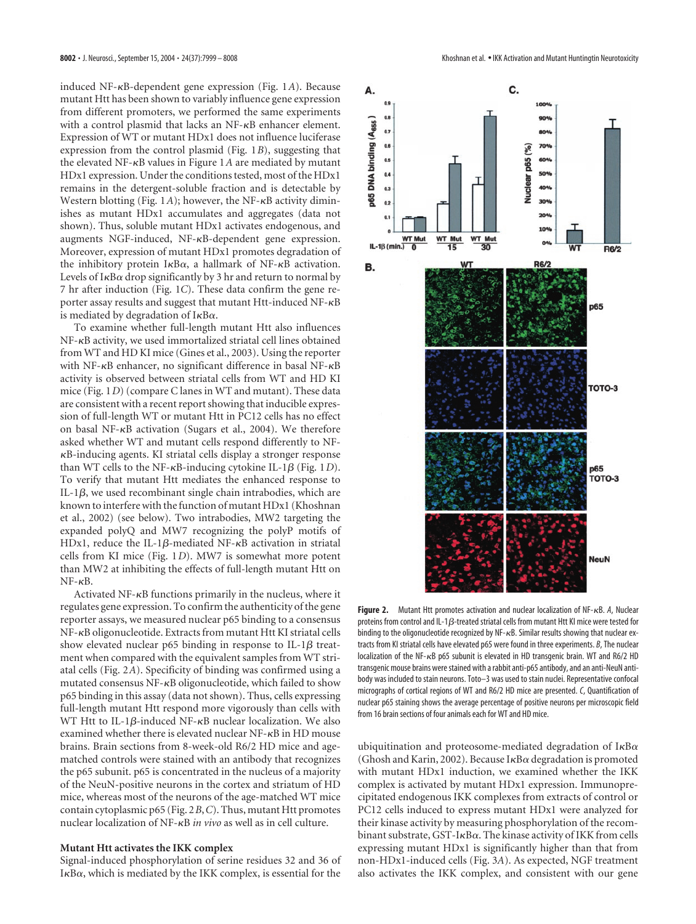induced NF- $\kappa$ B-dependent gene expression (Fig. 1A). Because mutant Htt has been shown to variably influence gene expression from different promoters, we performed the same experiments with a control plasmid that lacks an  $NF$ - $\kappa$ B enhancer element. Expression of WT or mutant HDx1 does not influence luciferase expression from the control plasmid (Fig. 1*B*), suggesting that the elevated NF- $\kappa$ B values in Figure 1A are mediated by mutant HDx1 expression. Under the conditions tested, most of the HDx1 remains in the detergent-soluble fraction and is detectable by Western blotting (Fig. 1A); however, the NF- $\kappa$ B activity diminishes as mutant HDx1 accumulates and aggregates (data not shown). Thus, soluble mutant HDx1 activates endogenous, and augments NGF-induced,  $NF- $\kappa$ B-dependent gene expression.$ Moreover, expression of mutant HDx1 promotes degradation of the inhibitory protein  $I \kappa B \alpha$ , a hallmark of NF- $\kappa B$  activation. Levels of  $I \kappa B \alpha$  drop significantly by 3 hr and return to normal by 7 hr after induction (Fig. 1*C*). These data confirm the gene reporter assay results and suggest that mutant Htt-induced  $NF-\kappa B$ is mediated by degradation of  $I \kappa B \alpha$ .

To examine whether full-length mutant Htt also influences NF-KB activity, we used immortalized striatal cell lines obtained from WT and HD KI mice (Gines et al., 2003). Using the reporter with NF- $\kappa$ B enhancer, no significant difference in basal NF- $\kappa$ B activity is observed between striatal cells from WT and HD KI mice (Fig. 1*D*) (compare C lanes in WT and mutant). These data are consistent with a recent report showing that inducible expression of full-length WT or mutant Htt in PC12 cells has no effect on basal NF- $\kappa$ B activation (Sugars et al., 2004). We therefore asked whether WT and mutant cells respond differently to NF- B-inducing agents. KI striatal cells display a stronger response than WT cells to the NF- $\kappa$ B-inducing cytokine IL-1 $\beta$  (Fig. 1*D*). To verify that mutant Htt mediates the enhanced response to IL-1 $\beta$ , we used recombinant single chain intrabodies, which are known to interfere with the function of mutant HDx1 (Khoshnan et al., 2002) (see below). Two intrabodies, MW2 targeting the expanded polyQ and MW7 recognizing the polyP motifs of HDx1, reduce the IL-1 $\beta$ -mediated NF- $\kappa$ B activation in striatal cells from KI mice (Fig. 1*D*). MW7 is somewhat more potent than MW2 at inhibiting the effects of full-length mutant Htt on  $NF-\kappa B$ .

Activated NF- $\kappa$ B functions primarily in the nucleus, where it regulates gene expression. To confirm the authenticity of the gene reporter assays, we measured nuclear p65 binding to a consensus NF- $\kappa$ B oligonucleotide. Extracts from mutant Htt KI striatal cells show elevated nuclear p65 binding in response to IL-1 $\beta$  treatment when compared with the equivalent samples from WT striatal cells (Fig. 2*A*). Specificity of binding was confirmed using a mutated consensus NF-KB oligonucleotide, which failed to show p65 binding in this assay (data not shown). Thus, cells expressing full-length mutant Htt respond more vigorously than cells with WT Htt to IL-1 $\beta$ -induced NF- $\kappa$ B nuclear localization. We also examined whether there is elevated nuclear  $NF$ - $\kappa$ B in HD mouse brains. Brain sections from 8-week-old R6/2 HD mice and agematched controls were stained with an antibody that recognizes the p65 subunit. p65 is concentrated in the nucleus of a majority of the NeuN-positive neurons in the cortex and striatum of HD mice, whereas most of the neurons of the age-matched WT mice contain cytoplasmic p65 (Fig. 2*B*,*C*). Thus, mutant Htt promotes nuclear localization of NF-<sub>K</sub>B *in vivo* as well as in cell culture.

#### **Mutant Htt activates the IKK complex**

Signal-induced phosphorylation of serine residues 32 and 36 of  $I\kappa B\alpha$ , which is mediated by the IKK complex, is essential for the



**Figure 2.** Mutant Htt promotes activation and nuclear localization of  $NF - \kappa B$ , A, Nuclear proteins from control and IL-1 $\beta$ -treated striatal cells from mutant Htt KI mice were tested for binding to the oligonucleotide recognized by  $NF-\kappa B$ . Similar results showing that nuclear extracts from KI striatal cells have elevated p65 were found in three experiments. *B*, The nuclear localization of the NF- $\kappa$ B p65 subunit is elevated in HD transgenic brain. WT and R6/2 HD transgenic mouse brains were stained with a rabbit anti-p65 antibody, and an anti-NeuN antibody was included to stain neurons. Toto–3 was used to stain nuclei. Representative confocal micrographs of cortical regions of WT and R6/2 HD mice are presented. *C*, Quantification of nuclear p65 staining shows the average percentage of positive neurons per microscopic field from 16 brain sections of four animals each for WT and HD mice.

ubiquitination and proteosome-mediated degradation of  $I \kappa B \alpha$ (Ghosh and Karin, 2002). Because  $I \kappa B \alpha$  degradation is promoted with mutant HDx1 induction, we examined whether the IKK complex is activated by mutant HDx1 expression. Immunoprecipitated endogenous IKK complexes from extracts of control or PC12 cells induced to express mutant HDx1 were analyzed for their kinase activity by measuring phosphorylation of the recombinant substrate, GST-I $\kappa$ B $\alpha$ . The kinase activity of IKK from cells expressing mutant HDx1 is significantly higher than that from non-HDx1-induced cells (Fig. 3*A*). As expected, NGF treatment also activates the IKK complex, and consistent with our gene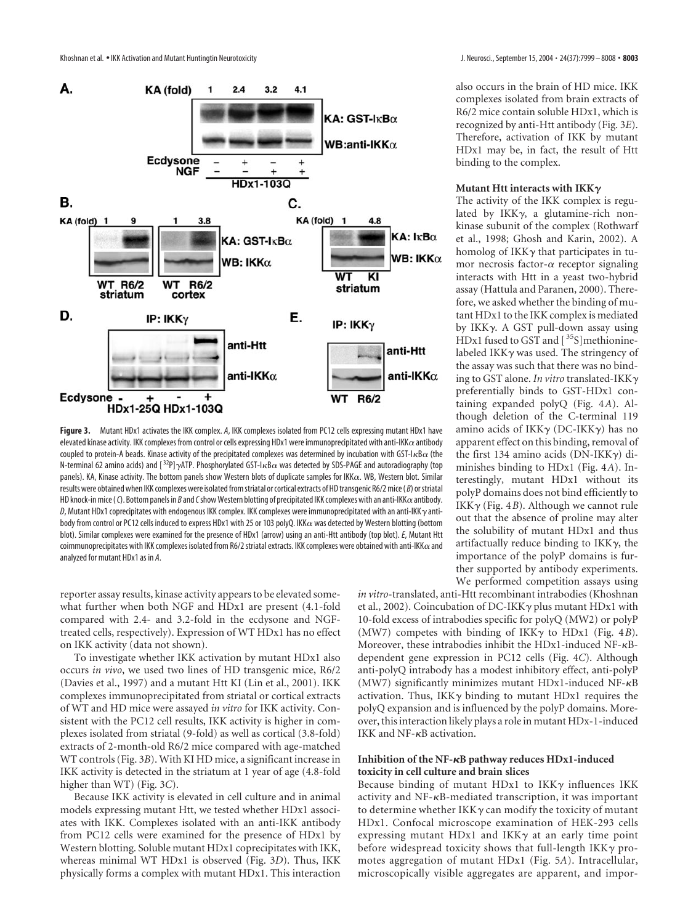

**Figure 3.** Mutant HDx1 activates the IKK complex. *A*, IKK complexes isolated from PC12 cells expressing mutant HDx1 have elevated kinase activity. IKK complexes from control or cells expressing HDx1 were immunoprecipitated with anti-IKK $\alpha$  antibody coupled to protein-A beads. Kinase activity of the precipitated complexes was determined by incubation with GST-I $\kappa$ B $\alpha$  (the N-terminal 62 amino acids) and [<sup>32</sup>P]-yATP. Phosphorylated GST-I $\kappa$ B $\alpha$  was detected by SDS-PAGE and autoradiography (top panels). KA, Kinase activity. The bottom panels show Western blots of duplicate samples for IKK $\alpha$ . WB, Western blot. Similar results were obtained when IKK complexes were isolated from striatal or cortical extracts of HD transgenic R6/2 mice ( *B*) or striatal HD knock-in mice (*C*). Bottom panels in *B* and *C* show Western blotting of precipitated IKK complexes with an anti-IKK $\alpha$  antibody.  $\emph{D}$ , Mutant HDx1 coprecipitates with endogenous IKK complex. IKK complexes were immunoprecipitated with an anti-IKK  $\gamma$  antibody from control or PC12 cells induced to express HDx1 with 25 or 103 polyQ. IKK $\alpha$  was detected by Western blotting (bottom blot). Similar complexes were examined for the presence of HDx1 (arrow) using an anti-Htt antibody (top blot). *E*, Mutant Htt coimmunoprecipitates with IKK complexes isolated from R6/2 striatal extracts. IKK complexes were obtained with anti-IKK $\alpha$  and analyzed for mutant HDx1 as in *A*.

reporter assay results, kinase activity appears to be elevated somewhat further when both NGF and HDx1 are present (4.1-fold compared with 2.4- and 3.2-fold in the ecdysone and NGFtreated cells, respectively). Expression of WT HDx1 has no effect on IKK activity (data not shown).

To investigate whether IKK activation by mutant HDx1 also occurs *in vivo*, we used two lines of HD transgenic mice, R6/2 (Davies et al., 1997) and a mutant Htt KI (Lin et al., 2001). IKK complexes immunoprecipitated from striatal or cortical extracts of WT and HD mice were assayed *in vitro* for IKK activity. Consistent with the PC12 cell results, IKK activity is higher in complexes isolated from striatal (9-fold) as well as cortical (3.8-fold) extracts of 2-month-old R6/2 mice compared with age-matched WT controls (Fig. 3*B*). With KI HD mice, a significant increase in IKK activity is detected in the striatum at 1 year of age (4.8-fold higher than WT) (Fig. 3*C*).

Because IKK activity is elevated in cell culture and in animal models expressing mutant Htt, we tested whether HDx1 associates with IKK. Complexes isolated with an anti-IKK antibody from PC12 cells were examined for the presence of HDx1 by Western blotting. Soluble mutant HDx1 coprecipitates with IKK, whereas minimal WT HDx1 is observed (Fig. 3*D*). Thus, IKK physically forms a complex with mutant HDx1. This interaction

also occurs in the brain of HD mice. IKK complexes isolated from brain extracts of R6/2 mice contain soluble HDx1, which is recognized by anti-Htt antibody (Fig. 3*E*). Therefore, activation of IKK by mutant HDx1 may be, in fact, the result of Htt binding to the complex.

#### Mutant Htt interacts with IKK $\gamma$

The activity of the IKK complex is regulated by IKK $\gamma$ , a glutamine-rich nonkinase subunit of the complex (Rothwarf et al., 1998; Ghosh and Karin, 2002). A homolog of IKK $\gamma$  that participates in tumor necrosis factor- $\alpha$  receptor signaling interacts with Htt in a yeast two-hybrid assay (Hattula and Paranen, 2000). Therefore, we asked whether the binding of mutant HDx1 to the IKK complex is mediated by IKK-. A GST pull-down assay using HDx1 fused to GST and [<sup>35</sup>S]methioninelabeled IKK $\gamma$  was used. The stringency of the assay was such that there was no binding to GST alone. *In vitro* translated-IKK preferentially binds to GST-HDx1 containing expanded polyQ (Fig. 4*A*). Although deletion of the C-terminal 119 amino acids of IKK $\gamma$  (DC-IKK $\gamma$ ) has no apparent effect on this binding, removal of the first 134 amino acids (DN-IKK $\gamma$ ) diminishes binding to HDx1 (Fig. 4*A*). Interestingly, mutant HDx1 without its polyP domains does not bind efficiently to IKK $\gamma$  (Fig. 4*B*). Although we cannot rule out that the absence of proline may alter the solubility of mutant HDx1 and thus artifactually reduce binding to IKK $\gamma$ , the importance of the polyP domains is further supported by antibody experiments. We performed competition assays using

*in vitro*-translated, anti-Htt recombinant intrabodies (Khoshnan et al., 2002). Coincubation of DC-IKK $\gamma$  plus mutant HDx1 with 10-fold excess of intrabodies specific for polyQ (MW2) or polyP (MW7) competes with binding of IKKγ to HDx1 (Fig. 4*B*). Moreover, these intrabodies inhibit the HDx1-induced  $NF-\kappa B$ dependent gene expression in PC12 cells (Fig. 4*C*). Although anti-polyQ intrabody has a modest inhibitory effect, anti-polyP (MW7) significantly minimizes mutant HDx1-induced NF- $\kappa$ B activation. Thus, IKK $\gamma$  binding to mutant HDx1 requires the polyQ expansion and is influenced by the polyP domains. Moreover, this interaction likely plays a role in mutant HDx-1-induced IKK and  $NF-\kappa B$  activation.

## **Inhibition of the NF-B pathway reduces HDx1-induced toxicity in cell culture and brain slices**

Because binding of mutant HDx1 to IKK $\gamma$  influences IKK activity and NF- $\kappa$ B-mediated transcription, it was important to determine whether IKK $\gamma$  can modify the toxicity of mutant HDx1. Confocal microscope examination of HEK-293 cells expressing mutant HDx1 and IKK $\gamma$  at an early time point before widespread toxicity shows that full-length IKK $\gamma$  promotes aggregation of mutant HDx1 (Fig. 5*A*). Intracellular, microscopically visible aggregates are apparent, and impor-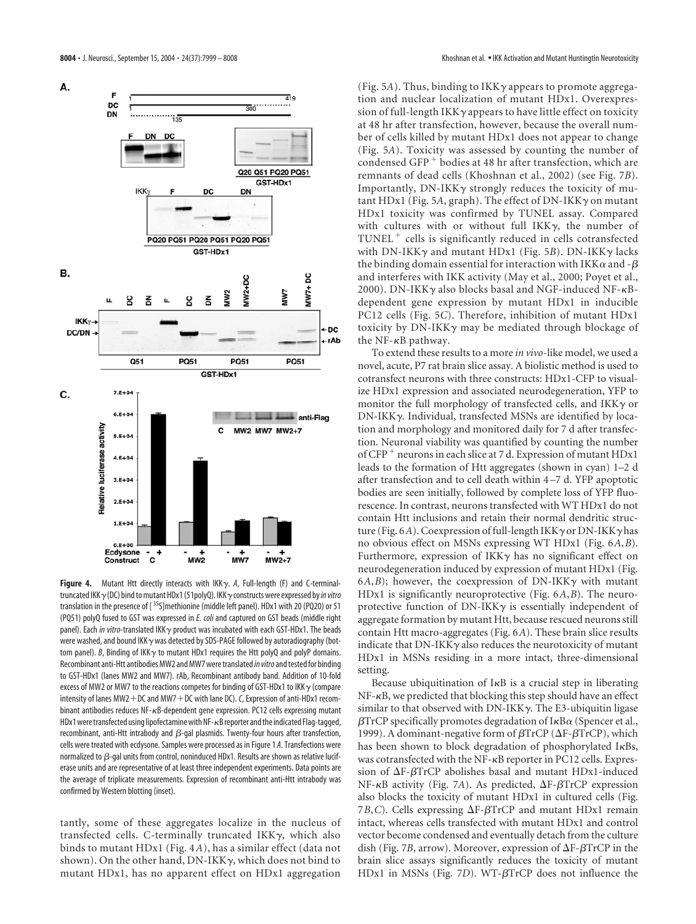

**Figure 4.** Mutant Htt directly interacts with IKK-. *A*, Full-length (F) and C-terminaltruncated IKK-(DC) bind to mutant HDx1 (51polyQ). IKK-constructs were expressed by*in vitro* translation in the presence of [35S]methionine (middle left panel). HDx1 with 20 (PQ20) or 51 (PQ51) polyQ fused to GST was expressed in *E. coli* and captured on GST beads (middle right panel). Each *in vitro-*translated IKK<sub>Y</sub> product was incubated with each GST-HDx1. The beads were washed, and bound IKK  $\gamma$  was detected by SDS-PAGE followed by autoradiography (bottom panel). *B*, Binding of IKK $\gamma$  to mutant HDx1 requires the Htt polyQ and polyP domains. Recombinant anti-Htt antibodies MW2 and MW7 were translated*in vitro*and tested for binding to GST-HDx1 (lanes MW2 and MW7). rAb, Recombinant antibody band. Addition of 10-fold excess of MW2 or MW7 to the reactions competes for binding of GST-HDx1 to IKK  $\gamma$  (compare intensity of lanes MW2-DC and MW7-DC with lane DC).*C*, Expression of anti-HDx1 recombinant antibodies reduces NF-KB-dependent gene expression. PC12 cells expressing mutant HDx1 were transfected using lipofectamine with NF-KB reporter and the indicated Flag-tagged, recombinant, anti-Htt intrabody and  $\beta$ -gal plasmids. Twenty-four hours after transfection, cells were treated with ecdysone. Samples were processed as in Figure 1 *A*. Transfections were normalized to  $\beta$ -gal units from control, noninduced HDx1. Results are shown as relative luciferase units and are representative of at least three independent experiments. Data points are the average of triplicate measurements. Expression of recombinant anti-Htt intrabody was confirmed by Western blotting (inset).

tantly, some of these aggregates localize in the nucleus of transfected cells. C-terminally truncated IKK $\gamma$ , which also binds to mutant HDx1 (Fig. 4*A*), has a similar effect (data not shown). On the other hand, DN-IKK $\gamma$ , which does not bind to mutant HDx1, has no apparent effect on HDx1 aggregation

(Fig. 5A). Thus, binding to IKKγ appears to promote aggregation and nuclear localization of mutant HDx1. Overexpression of full-length IKK  $\gamma$  appears to have little effect on toxicity at 48 hr after transfection, however, because the overall number of cells killed by mutant HDx1 does not appear to change (Fig. 5*A*). Toxicity was assessed by counting the number of condensed GFP - bodies at 48 hr after transfection, which are remnants of dead cells (Khoshnan et al., 2002) (see Fig. 7*B*). Importantly, DN-IKK $\gamma$  strongly reduces the toxicity of mutant HDx1 (Fig. 5A, graph). The effect of DN-IKK $\gamma$  on mutant HDx1 toxicity was confirmed by TUNEL assay. Compared with cultures with or without full IKK $\gamma$ , the number of TUNEL - cells is significantly reduced in cells cotransfected with DN-IKKγ and mutant HDx1 (Fig. 5*B*). DN-IKKγ lacks the binding domain essential for interaction with IKK $\alpha$  and - $\beta$ and interferes with IKK activity (May et al., 2000; Poyet et al., 2000). DN-IKK $\gamma$  also blocks basal and NGF-induced NF- $\kappa$ Bdependent gene expression by mutant HDx1 in inducible PC12 cells (Fig. 5*C*). Therefore, inhibition of mutant HDx1 toxicity by DN-IKK $\gamma$  may be mediated through blockage of the NF- $\kappa$ B pathway.

To extend these results to a more *in vivo*-like model, we used a novel, acute, P7 rat brain slice assay. A biolistic method is used to cotransfect neurons with three constructs: HDx1-CFP to visualize HDx1 expression and associated neurodegeneration, YFP to monitor the full morphology of transfected cells, and IKK $\gamma$  or DN-IKK-. Individual, transfected MSNs are identified by location and morphology and monitored daily for 7 d after transfection. Neuronal viability was quantified by counting the number of CFP<sup>+</sup> neurons in each slice at 7 d. Expression of mutant HDx1 leads to the formation of Htt aggregates (shown in cyan) 1–2 d after transfection and to cell death within 4–7 d. YFP apoptotic bodies are seen initially, followed by complete loss of YFP fluorescence. In contrast, neurons transfected with WT HDx1 do not contain Htt inclusions and retain their normal dendritic structure (Fig. 6*A*). Coexpression of full-length IKK  $\gamma$  or DN-IKK  $\gamma$  has no obvious effect on MSNs expressing WT HDx1 (Fig. 6*A*,*B*). Furthermore, expression of IKK $\gamma$  has no significant effect on neurodegeneration induced by expression of mutant HDx1 (Fig. 6*A*,*B*); however, the coexpression of DN-IKK $\gamma$  with mutant HDx1 is significantly neuroprotective (Fig. 6*A*,*B*). The neuroprotective function of DN-IKK $\gamma$  is essentially independent of aggregate formation by mutant Htt, because rescued neurons still contain Htt macro-aggregates (Fig. 6*A*). These brain slice results indicate that DN-IKK $\gamma$  also reduces the neurotoxicity of mutant HDx1 in MSNs residing in a more intact, three-dimensional setting.

Because ubiquitination of  $I \kappa B$  is a crucial step in liberating  $NF-\kappa B$ , we predicted that blocking this step should have an effect similar to that observed with DN-IKK $\gamma$ . The E3-ubiquitin ligase  $\beta$ TrCP specifically promotes degradation of I $\kappa$ B $\alpha$  (Spencer et al., 1999). A dominant-negative form of  $\beta$ TrCP ( $\Delta$ F- $\beta$ TrCP), which has been shown to block degradation of phosphorylated I $\kappa$ Bs, was cotransfected with the NF- $\kappa$ B reporter in PC12 cells. Expression of  $\Delta F$ - $\beta$ TrCP abolishes basal and mutant HDx1-induced NF- $\kappa$ B activity (Fig. 7*A*). As predicted,  $\Delta$ F- $\beta$ TrCP expression also blocks the toxicity of mutant HDx1 in cultured cells (Fig. 7*B*,*C*). Cells expressing  $\Delta F$ - $\beta$ TrCP and mutant HDx1 remain intact, whereas cells transfected with mutant HDx1 and control vector become condensed and eventually detach from the culture dish (Fig. 7*B*, arrow). Moreover, expression of  $\Delta F$ - $\beta TrCP$  in the brain slice assays significantly reduces the toxicity of mutant HDx1 in MSNs (Fig.  $7D$ ). WT- $\beta$ TrCP does not influence the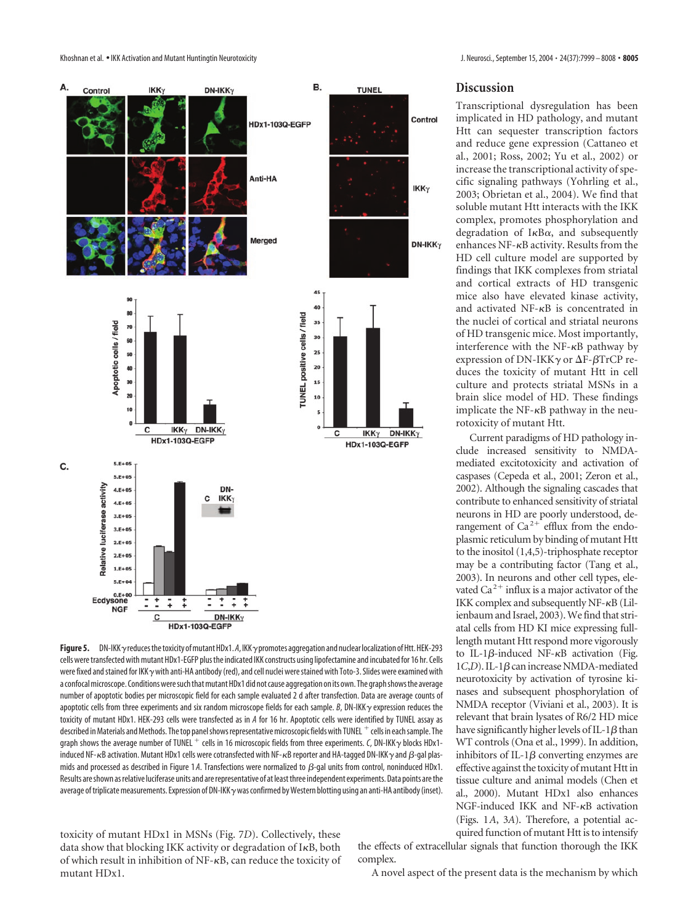Khoshnan et al. • IKK Activation and Mutant Huntingtin Neurotoxicity **J. Neuroscity** J. Neurosci., September 15, 2004 • 24(37):7999 – 8008 • 8005



# **Discussion**

Transcriptional dysregulation has been implicated in HD pathology, and mutant Htt can sequester transcription factors and reduce gene expression (Cattaneo et al., 2001; Ross, 2002; Yu et al., 2002) or increase the transcriptional activity of specific signaling pathways (Yohrling et al., 2003; Obrietan et al., 2004). We find that soluble mutant Htt interacts with the IKK complex, promotes phosphorylation and degradation of  $I \kappa B \alpha$ , and subsequently enhances  $NF$ - $\kappa$ B activity. Results from the HD cell culture model are supported by findings that IKK complexes from striatal and cortical extracts of HD transgenic mice also have elevated kinase activity, and activated  $NF-\kappa B$  is concentrated in the nuclei of cortical and striatal neurons of HD transgenic mice. Most importantly, interference with the  $NF-\kappa B$  pathway by expression of DN-IKK $\gamma$  or  $\Delta F$ - $\beta$ TrCP reduces the toxicity of mutant Htt in cell culture and protects striatal MSNs in a brain slice model of HD. These findings implicate the NF- $\kappa$ B pathway in the neurotoxicity of mutant Htt.

Current paradigms of HD pathology include increased sensitivity to NMDAmediated excitotoxicity and activation of caspases (Cepeda et al., 2001; Zeron et al., 2002). Although the signaling cascades that contribute to enhanced sensitivity of striatal neurons in HD are poorly understood, derangement of  $Ca^{2+}$  efflux from the endoplasmic reticulum by binding of mutant Htt to the inositol (1,4,5)-triphosphate receptor may be a contributing factor (Tang et al., 2003). In neurons and other cell types, elevated  $Ca^{2+}$  influx is a major activator of the IKK complex and subsequently  $NF-\kappa B$  (Lilienbaum and Israel, 2003). We find that striatal cells from HD KI mice expressing fulllength mutant Htt respond more vigorously to IL-1 $\beta$ -induced NF- $\kappa$ B activation (Fig.  $1C,D$ ). IL-1 $\beta$  can increase NMDA-mediated neurotoxicity by activation of tyrosine kinases and subsequent phosphorylation of NMDA receptor (Viviani et al., 2003). It is relevant that brain lysates of R6/2 HD mice have significantly higher levels of IL-1 $\beta$  than WT controls (Ona et al., 1999). In addition, inhibitors of IL-1 $\beta$  converting enzymes are effective against the toxicity of mutant Htt in tissue culture and animal models (Chen et al., 2000). Mutant HDx1 also enhances NGF-induced IKK and NF-<sub>KB</sub> activation (Figs. 1*A*, 3*A*). Therefore, a potential acquired function of mutant Htt is to intensify

Figure 5. DN-IKK y reduces the toxicity of mutant HDx1.*A*, IKK y promotes aggregation and nuclear localization of Htt. HEK-293 cells were transfected with mutant HDx1-EGFP plus the indicated IKK constructs using lipofectamine and incubated for 16 hr. Cells were fixed and stained for IKK $\gamma$  with anti-HA antibody (red), and cell nuclei were stained with Toto-3. Slides were examined with a confocal microscope. Conditions were such that mutant HDx1 did not cause aggregation on its own. The graph shows the average number of apoptotic bodies per microscopic field for each sample evaluated 2 d after transfection. Data are average counts of apoptotic cells from three experiments and six random microscope fields for each sample. *B*, DN-IKK $\gamma$  expression reduces the toxicity of mutant HDx1. HEK-293 cells were transfected as in *A* for 16 hr. Apoptotic cells were identified by TUNEL assay as described in Materials and Methods. The top panel shows representative microscopic fields with TUNEL  $^+$  cells in each sample. The graph shows the average number of TUNEL  $^+$  cells in 16 microscopic fields from three experiments. *C,* DN-IKK $\gamma$  blocks HDx1induced NF-16B activation. Mutant HDx1 cells were cotransfected with NF-16B reporter and HA-tagged DN-IKK $\gamma$  and  $\beta$ -gal plasmids and processed as described in Figure 1A. Transfections were normalized to  $\beta$ -gal units from control, noninduced HDx1. Results are shown as relative luciferase units and are representative of at least three independent experiments. Data points are the average of triplicate measurements. Expression of DN-IKK  $\gamma$  was confirmed by Western blotting using an anti-HA antibody (inset).

toxicity of mutant HDx1 in MSNs (Fig. 7*D*). Collectively, these data show that blocking IKK activity or degradation of IKB, both of which result in inhibition of NF- $\kappa$ B, can reduce the toxicity of mutant HDx1.

the effects of extracellular signals that function thorough the IKK complex.

A novel aspect of the present data is the mechanism by which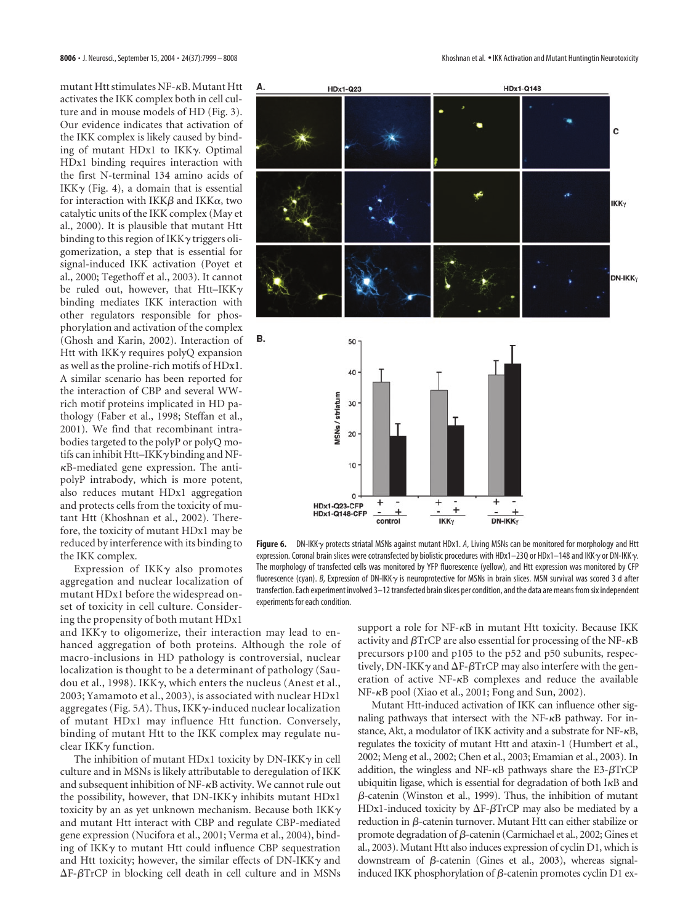mutant Htt stimulates NF-KB. Mutant Htt activates the IKK complex both in cell culture and in mouse models of HD (Fig. 3). Our evidence indicates that activation of the IKK complex is likely caused by binding of mutant HDx1 to ΙΚΚγ. Optimal HDx1 binding requires interaction with the first N-terminal 134 amino acids of IKK $\gamma$  (Fig. 4), a domain that is essential for interaction with IKK $\beta$  and IKK $\alpha$ , two catalytic units of the IKK complex (May et al., 2000). It is plausible that mutant Htt binding to this region of IKK $\gamma$  triggers oligomerization, a step that is essential for signal-induced IKK activation (Poyet et al., 2000; Tegethoff et al., 2003). It cannot be ruled out, however, that Htt–IKK $\gamma$ binding mediates IKK interaction with other regulators responsible for phosphorylation and activation of the complex (Ghosh and Karin, 2002). Interaction of Htt with IKK $\gamma$  requires polyQ expansion as well as the proline-rich motifs of HDx1. A similar scenario has been reported for the interaction of CBP and several WWrich motif proteins implicated in HD pathology (Faber et al., 1998; Steffan et al., 2001). We find that recombinant intrabodies targeted to the polyP or polyQ motifs can inhibit Htt–IKK $\gamma$  binding and NF-B-mediated gene expression. The antipolyP intrabody, which is more potent, also reduces mutant HDx1 aggregation and protects cells from the toxicity of mutant Htt (Khoshnan et al., 2002). Therefore, the toxicity of mutant HDx1 may be reduced by interference with its binding to the IKK complex.

Expression of IKK $\gamma$  also promotes aggregation and nuclear localization of mutant HDx1 before the widespread onset of toxicity in cell culture. Considering the propensity of both mutant HDx1

and IKKy to oligomerize, their interaction may lead to enhanced aggregation of both proteins. Although the role of macro-inclusions in HD pathology is controversial, nuclear localization is thought to be a determinant of pathology (Saudou et al., 1998). IKK $\gamma$ , which enters the nucleus (Anest et al., 2003; Yamamoto et al., 2003), is associated with nuclear HDx1 aggregates (Fig. 5*A*). Thus, IKK--induced nuclear localization of mutant HDx1 may influence Htt function. Conversely, binding of mutant Htt to the IKK complex may regulate nuclear IKKy function.

experiments for each condition.

 $\overline{0}$ **HDx1-Q23-CFP** 

control

**HDx1-Q148-CFP** 

The inhibition of mutant HDx1 toxicity by DN-IKK $\gamma$  in cell culture and in MSNs is likely attributable to deregulation of IKK and subsequent inhibition of  $NF$ - $\kappa$ B activity. We cannot rule out the possibility, however, that DN-IKK $\gamma$  inhibits mutant HDx1 toxicity by an as yet unknown mechanism. Because both IKK $\gamma$ and mutant Htt interact with CBP and regulate CBP-mediated gene expression (Nucifora et al., 2001; Verma et al., 2004), binding of IKK- to mutant Htt could influence CBP sequestration and Htt toxicity; however, the similar effects of DN-IKK $\gamma$  and  $\Delta F$ - $\beta$ TrCP in blocking cell death in cell culture and in MSNs

support a role for  $NF-\kappa B$  in mutant Htt toxicity. Because IKK activity and  $\beta$ TrCP are also essential for processing of the NF- $\kappa$ B precursors p100 and p105 to the p52 and p50 subunits, respectively, DN-IKK $\gamma$  and  $\Delta$ F- $\beta$ TrCP may also interfere with the generation of active  $NF-\kappa B$  complexes and reduce the available NF- $\kappa$ B pool (Xiao et al., 2001; Fong and Sun, 2002).

DN-IKK<sub>Y</sub>

.

Mutant Htt-induced activation of IKK can influence other signaling pathways that intersect with the  $NF-\kappa B$  pathway. For instance, Akt, a modulator of IKK activity and a substrate for NF- $\kappa$ B, regulates the toxicity of mutant Htt and ataxin-1 (Humbert et al., 2002; Meng et al., 2002; Chen et al., 2003; Emamian et al., 2003). In addition, the wingless and NF- $\kappa$ B pathways share the E3- $\beta$ TrCP ubiquitin ligase, which is essential for degradation of both  $I\kappa B$  and  $\beta$ -catenin (Winston et al., 1999). Thus, the inhibition of mutant HDx1-induced toxicity by  $\Delta F$ - $\beta$ TrCP may also be mediated by a reduction in  $\beta$ -catenin turnover. Mutant Htt can either stabilize or promote degradation of  $\beta$ -catenin (Carmichael et al., 2002; Gines et al., 2003). Mutant Htt also induces expression of cyclin D1, which is downstream of  $\beta$ -catenin (Gines et al., 2003), whereas signalinduced IKK phosphorylation of  $\beta$ -catenin promotes cyclin D1 ex-



**Figure 6.** DN-IKK- protects striatal MSNs against mutant HDx1. *A*, Living MSNs can be monitored for morphology and Htt expression. Coronal brain slices were cotransfected by biolistic procedures with HDx1—23Q or HDx1—148 and IKK  $\gamma$  or DN-IKK  $\gamma$ 

 $IKK$ 

 $^{+}$ 

The morphology of transfected cells was monitored by YFP fluorescence (yellow), and Htt expression was monitored by CFP fluorescence (cyan). *B*, Expression of DN-IKK $\gamma$  is neuroprotective for MSNs in brain slices. MSN survival was scored 3 d after transfection. Each experiment involved 3–12 transfected brain slices per condition, and the data are means from six independent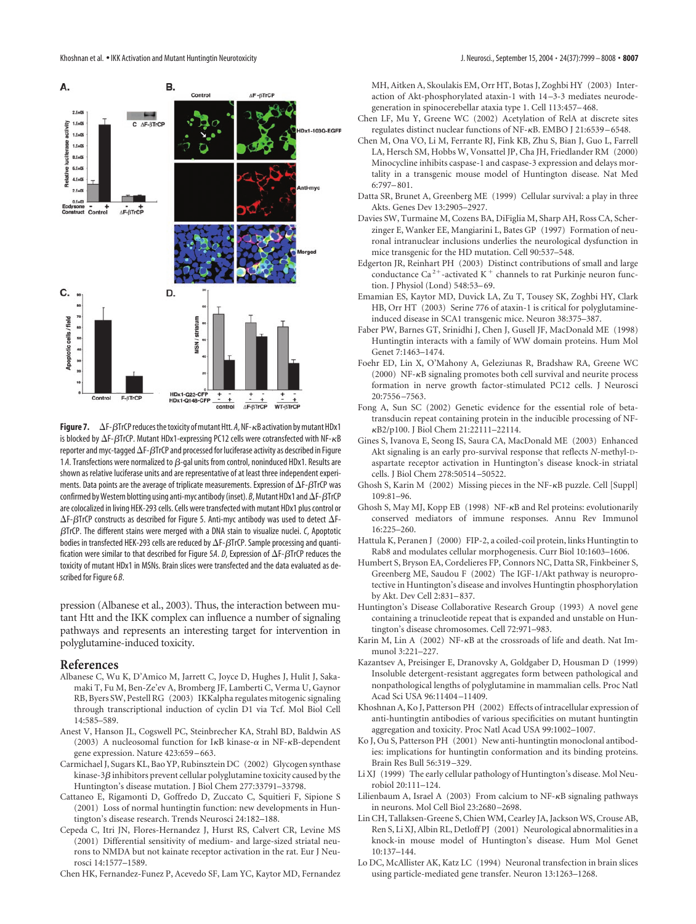

**Figure 7.**  $\Delta F$ - $\beta$ TrCP reduces the toxicity of mutant Htt. A, NF- $\kappa$ B activation by mutant HDx1 is blocked by  $\Delta$ F- $\beta$ TrCP. Mutant HDx1-expressing PC12 cells were cotransfected with NF- $\kappa$ B reporter and myc-tagged  $\Delta$ F- $\beta$ TrCP and processed for luciferase activity as described in Figure 1 A. Transfections were normalized to  $\beta$ -gal units from control, noninduced HDx1. Results are shown as relative luciferase units and are representative of at least three independent experiments. Data points are the average of triplicate measurements. Expression of  $\Delta$ F- $\beta$ TrCP was confirmed by Western blotting using anti-myc antibody (inset).  $B$ , Mutant HDx1 and  $\Delta$ F- $\beta$ TrCP are colocalized in living HEK-293 cells. Cells were transfected with mutant HDx1 plus control or  $\Delta$ F- $\beta$ TrCP constructs as described for Figure 5. Anti-myc antibody was used to detect  $\Delta$ F-TrCP. The different stains were merged with a DNA stain to visualize nuclei. *C*, Apoptotic bodies in transfected HEK-293 cells are reduced by  $\Delta$ F- $\beta$ TrCP. Sample processing and quantification were similar to that described for Figure 5A.  $D$ , Expression of  $\Delta F$ - $\beta$ TrCP reduces the toxicity of mutant HDx1 in MSNs. Brain slices were transfected and the data evaluated as described for Figure 6 *B*.

pression (Albanese et al., 2003). Thus, the interaction between mutant Htt and the IKK complex can influence a number of signaling pathways and represents an interesting target for intervention in polyglutamine-induced toxicity.

## **References**

- Albanese C, Wu K, D'Amico M, Jarrett C, Joyce D, Hughes J, Hulit J, Sakamaki T, Fu M, Ben-Ze'ev A, Bromberg JF, Lamberti C, Verma U, Gaynor RB, Byers SW, Pestell RG (2003) IKKalpha regulates mitogenic signaling through transcriptional induction of cyclin D1 via Tcf. Mol Biol Cell 14:585–589.
- Anest V, Hanson JL, Cogswell PC, Steinbrecher KA, Strahl BD, Baldwin AS (2003) A nucleosomal function for  $I \kappa B$  kinase- $\alpha$  in NF- $\kappa B$ -dependent gene expression. Nature 423:659–663.
- Carmichael J, Sugars KL, Bao YP, Rubinsztein DC (2002) Glycogen synthase kinase-3 $\beta$  inhibitors prevent cellular polyglutamine toxicity caused by the Huntington's disease mutation. J Biol Chem 277:33791–33798.
- Cattaneo E, Rigamonti D, Goffredo D, Zuccato C, Squitieri F, Sipione S (2001) Loss of normal huntingtin function: new developments in Huntington's disease research. Trends Neurosci 24:182–188.
- Cepeda C, Itri JN, Flores-Hernandez J, Hurst RS, Calvert CR, Levine MS (2001) Differential sensitivity of medium- and large-sized striatal neurons to NMDA but not kainate receptor activation in the rat. Eur J Neurosci 14:1577–1589.
- Chen HK, Fernandez-Funez P, Acevedo SF, Lam YC, Kaytor MD, Fernandez

MH, Aitken A, Skoulakis EM, Orr HT, Botas J, Zoghbi HY (2003) Interaction of Akt-phosphorylated ataxin-1 with 14–3-3 mediates neurodegeneration in spinocerebellar ataxia type 1. Cell 113:457–468.

- Chen LF, Mu Y, Greene WC (2002) Acetylation of RelA at discrete sites regulates distinct nuclear functions of NF- $\kappa$ B. EMBO J 21:6539-6548.
- Chen M, Ona VO, Li M, Ferrante RJ, Fink KB, Zhu S, Bian J, Guo L, Farrell LA, Hersch SM, Hobbs W, Vonsattel JP, Cha JH, Friedlander RM (2000) Minocycline inhibits caspase-1 and caspase-3 expression and delays mortality in a transgenic mouse model of Huntington disease. Nat Med 6:797–801.
- Datta SR, Brunet A, Greenberg ME (1999) Cellular survival: a play in three Akts. Genes Dev 13:2905–2927.
- Davies SW, Turmaine M, Cozens BA, DiFiglia M, Sharp AH, Ross CA, Scherzinger E, Wanker EE, Mangiarini L, Bates GP (1997) Formation of neuronal intranuclear inclusions underlies the neurological dysfunction in mice transgenic for the HD mutation. Cell 90:537–548.
- Edgerton JR, Reinhart PH (2003) Distinct contributions of small and large conductance Ca<sup>2+</sup>-activated K<sup>+</sup> channels to rat Purkinje neuron function. J Physiol (Lond) 548:53–69.
- Emamian ES, Kaytor MD, Duvick LA, Zu T, Tousey SK, Zoghbi HY, Clark HB, Orr HT (2003) Serine 776 of ataxin-1 is critical for polyglutamineinduced disease in SCA1 transgenic mice. Neuron 38:375–387.
- Faber PW, Barnes GT, Srinidhi J, Chen J, Gusell JF, MacDonald ME (1998) Huntingtin interacts with a family of WW domain proteins. Hum Mol Genet 7:1463–1474.
- Foehr ED, Lin X, O'Mahony A, Geleziunas R, Bradshaw RA, Greene WC (2000) NF- $\kappa$ B signaling promotes both cell survival and neurite process formation in nerve growth factor-stimulated PC12 cells. J Neurosci 20:7556–7563.
- Fong A, Sun SC (2002) Genetic evidence for the essential role of betatransducin repeat containing protein in the inducible processing of NF- B2/p100. J Biol Chem 21:22111–22114.
- Gines S, Ivanova E, Seong IS, Saura CA, MacDonald ME (2003) Enhanced Akt signaling is an early pro-survival response that reflects *N*-methyl-Daspartate receptor activation in Huntington's disease knock-in striatal cells. J Biol Chem 278:50514–50522.
- Ghosh S, Karin M (2002) Missing pieces in the NF-KB puzzle. Cell [Suppl] 109:81–96.
- Ghosh S, May MJ, Kopp EB (1998) NF- $\kappa$ B and Rel proteins: evolutionarily conserved mediators of immune responses. Annu Rev Immunol 16:225–260.
- Hattula K, Peranen J (2000) FIP-2, a coiled-coil protein, links Huntingtin to Rab8 and modulates cellular morphogenesis. Curr Biol 10:1603–1606.
- Humbert S, Bryson EA, Cordelieres FP, Connors NC, Datta SR, Finkbeiner S, Greenberg ME, Saudou F (2002) The IGF-1/Akt pathway is neuroprotective in Huntington's disease and involves Huntingtin phosphorylation by Akt. Dev Cell 2:831–837.
- Huntington's Disease Collaborative Research Group (1993) A novel gene containing a trinucleotide repeat that is expanded and unstable on Huntington's disease chromosomes. Cell 72:971–983.
- Karin M, Lin A (2002) NF- $\kappa$ B at the crossroads of life and death. Nat Immunol 3:221–227.
- Kazantsev A, Preisinger E, Dranovsky A, Goldgaber D, Housman D (1999) Insoluble detergent-resistant aggregates form between pathological and nonpathological lengths of polyglutamine in mammalian cells. Proc Natl Acad Sci USA 96:11404–11409.
- Khoshnan A, Ko J, Patterson PH (2002) Effects of intracellular expression of anti-huntingtin antibodies of various specificities on mutant huntingtin aggregation and toxicity. Proc Natl Acad USA 99:1002–1007.
- Ko J, Ou S, Patterson PH (2001) New anti-huntingtin monoclonal antibodies: implications for huntingtin conformation and its binding proteins. Brain Res Bull 56:319–329.
- Li XJ (1999) The early cellular pathology of Huntington's disease. Mol Neurobiol 20:111–124.
- Lilienbaum A, Israel A (2003) From calcium to NF-KB signaling pathways in neurons. Mol Cell Biol 23:2680–2698.
- Lin CH, Tallaksen-Greene S, Chien WM, Cearley JA, Jackson WS, Crouse AB, Ren S, Li XJ, Albin RL, Detloff PJ (2001) Neurological abnormalities in a knock-in mouse model of Huntington's disease. Hum Mol Genet 10:137–144.
- Lo DC, McAllister AK, Katz LC (1994) Neuronal transfection in brain slices using particle-mediated gene transfer. Neuron 13:1263–1268.